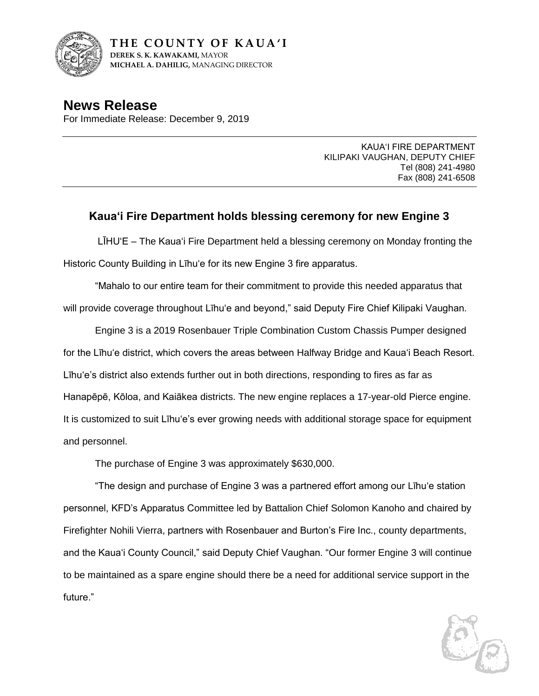

**T H E C O U N T Y O F K A U A ' I DEREK S. K. KAWAKAMI,** MAYOR **MICHAEL A. DAHILIG,** MANAGING DIRECTOR

**News Release** For Immediate Release: December 9, 2019

> KAUA'I FIRE DEPARTMENT KILIPAKI VAUGHAN, DEPUTY CHIEF Tel (808) 241-4980 Fax (808) 241-6508

## **Kaua'i Fire Department holds blessing ceremony for new Engine 3**

LĪHU'E – The Kaua'i Fire Department held a blessing ceremony on Monday fronting the Historic County Building in Līhu'e for its new Engine 3 fire apparatus.

"Mahalo to our entire team for their commitment to provide this needed apparatus that will provide coverage throughout Līhu'e and beyond," said Deputy Fire Chief Kilipaki Vaughan.

Engine 3 is a 2019 Rosenbauer Triple Combination Custom Chassis Pumper designed for the Līhu'e district, which covers the areas between Halfway Bridge and Kaua'i Beach Resort. Līhu'e's district also extends further out in both directions, responding to fires as far as Hanapēpē, Kōloa, and Kaiākea districts. The new engine replaces a 17-year-old Pierce engine. It is customized to suit Līhu'e's ever growing needs with additional storage space for equipment and personnel.

The purchase of Engine 3 was approximately \$630,000.

"The design and purchase of Engine 3 was a partnered effort among our Līhu'e station personnel, KFD's Apparatus Committee led by Battalion Chief Solomon Kanoho and chaired by Firefighter Nohili Vierra, partners with Rosenbauer and Burton's Fire Inc., county departments, and the Kaua'i County Council," said Deputy Chief Vaughan. "Our former Engine 3 will continue to be maintained as a spare engine should there be a need for additional service support in the future."

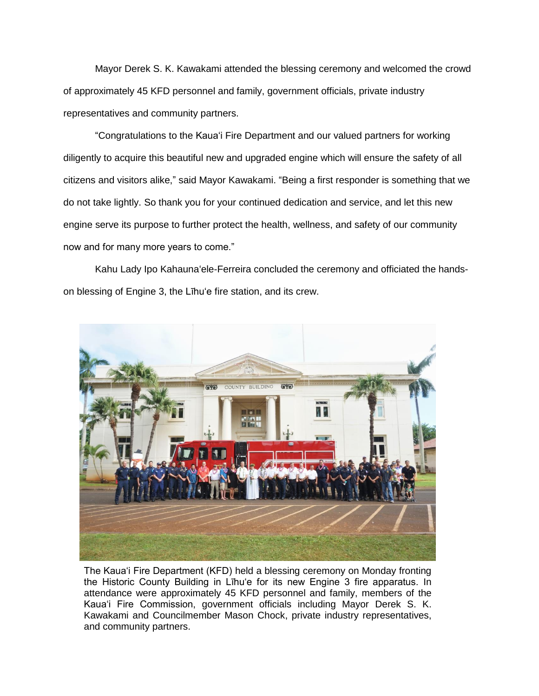Mayor Derek S. K. Kawakami attended the blessing ceremony and welcomed the crowd of approximately 45 KFD personnel and family, government officials, private industry representatives and community partners.

"Congratulations to the Kaua'i Fire Department and our valued partners for working diligently to acquire this beautiful new and upgraded engine which will ensure the safety of all citizens and visitors alike," said Mayor Kawakami. "Being a first responder is something that we do not take lightly. So thank you for your continued dedication and service, and let this new engine serve its purpose to further protect the health, wellness, and safety of our community now and for many more years to come."

Kahu Lady Ipo Kahauna'ele-Ferreira concluded the ceremony and officiated the handson blessing of Engine 3, the Līhu'e fire station, and its crew.



The Kaua'i Fire Department (KFD) held a blessing ceremony on Monday fronting the Historic County Building in Līhu'e for its new Engine 3 fire apparatus. In attendance were approximately 45 KFD personnel and family, members of the Kaua'i Fire Commission, government officials including Mayor Derek S. K. Kawakami and Councilmember Mason Chock, private industry representatives, and community partners.